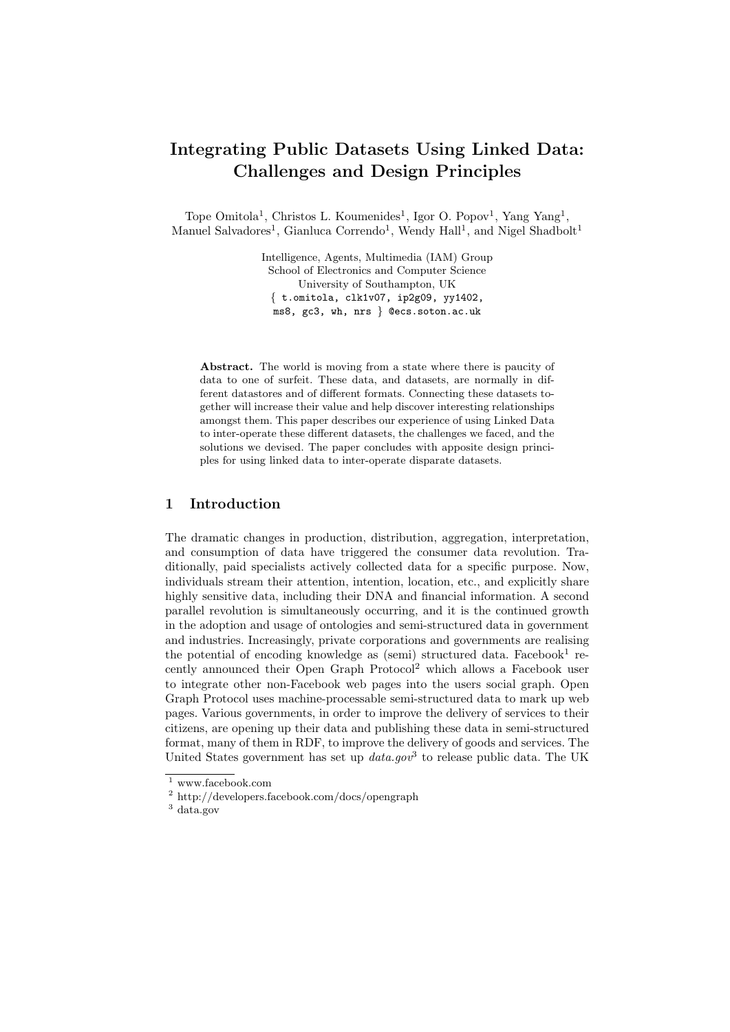# Integrating Public Datasets Using Linked Data: Challenges and Design Principles

Tope Omitola<sup>1</sup>, Christos L. Koumenides<sup>1</sup>, Igor O. Popov<sup>1</sup>, Yang Yang<sup>1</sup>, Manuel Salvadores<sup>1</sup>, Gianluca Correndo<sup>1</sup>, Wendy Hall<sup>1</sup>, and Nigel Shadbolt<sup>1</sup>

> Intelligence, Agents, Multimedia (IAM) Group School of Electronics and Computer Science University of Southampton, UK *{* t.omitola, clk1v07, ip2g09, yy1402, ms8, gc3, wh, nrs *}* @ecs.soton.ac.uk

Abstract. The world is moving from a state where there is paucity of data to one of surfeit. These data, and datasets, are normally in different datastores and of different formats. Connecting these datasets together will increase their value and help discover interesting relationships amongst them. This paper describes our experience of using Linked Data to inter-operate these different datasets, the challenges we faced, and the solutions we devised. The paper concludes with apposite design principles for using linked data to inter-operate disparate datasets.

## 1 Introduction

The dramatic changes in production, distribution, aggregation, interpretation, and consumption of data have triggered the consumer data revolution. Traditionally, paid specialists actively collected data for a specific purpose. Now, individuals stream their attention, intention, location, etc., and explicitly share highly sensitive data, including their DNA and financial information. A second parallel revolution is simultaneously occurring, and it is the continued growth in the adoption and usage of ontologies and semi-structured data in government and industries. Increasingly, private corporations and governments are realising the potential of encoding knowledge as (semi) structured data. Facebook<sup>1</sup> recently announced their Open Graph Protocol<sup>2</sup> which allows a Facebook user to integrate other non-Facebook web pages into the users social graph. Open Graph Protocol uses machine-processable semi-structured data to mark up web pages. Various governments, in order to improve the delivery of services to their citizens, are opening up their data and publishing these data in semi-structured format, many of them in RDF, to improve the delivery of goods and services. The United States government has set up *data.gov*<sup>3</sup> to release public data. The UK

 $\frac{1}{1}$  www.facebook.com

<sup>2</sup> http://developers.facebook.com/docs/opengraph

<sup>3</sup> data.gov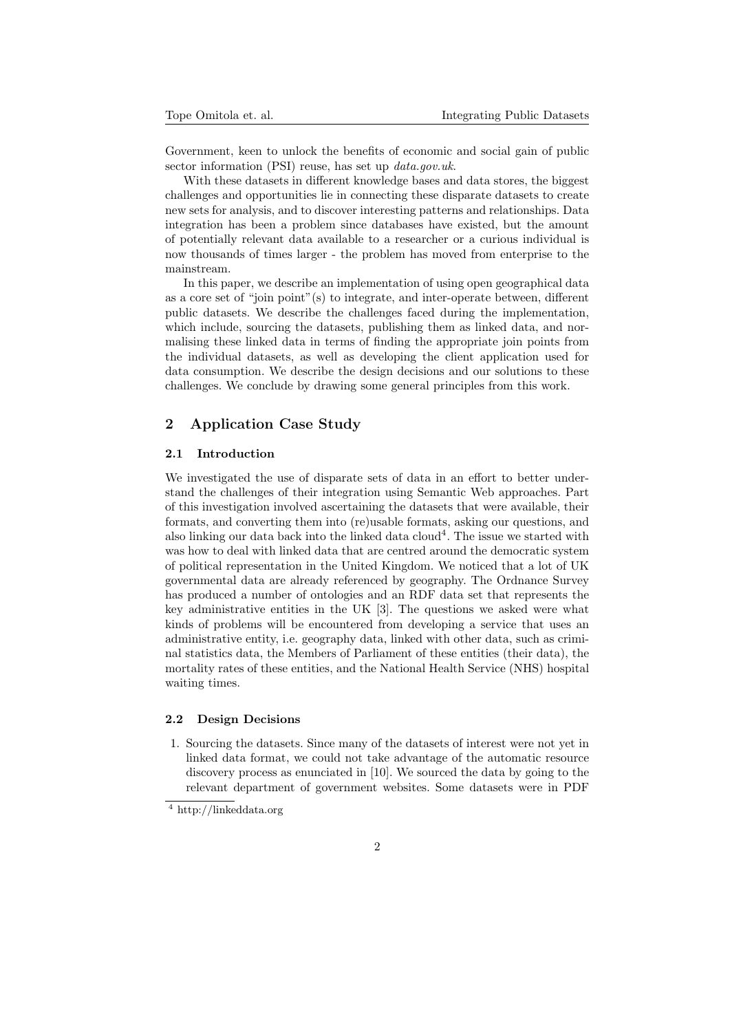Government, keen to unlock the benefits of economic and social gain of public sector information (PSI) reuse, has set up *data.gov.uk*.

With these datasets in different knowledge bases and data stores, the biggest challenges and opportunities lie in connecting these disparate datasets to create new sets for analysis, and to discover interesting patterns and relationships. Data integration has been a problem since databases have existed, but the amount of potentially relevant data available to a researcher or a curious individual is now thousands of times larger - the problem has moved from enterprise to the mainstream.

In this paper, we describe an implementation of using open geographical data as a core set of "join point"(s) to integrate, and inter-operate between, different public datasets. We describe the challenges faced during the implementation, which include, sourcing the datasets, publishing them as linked data, and normalising these linked data in terms of finding the appropriate join points from the individual datasets, as well as developing the client application used for data consumption. We describe the design decisions and our solutions to these challenges. We conclude by drawing some general principles from this work.

# 2 Application Case Study

#### 2.1 Introduction

We investigated the use of disparate sets of data in an effort to better understand the challenges of their integration using Semantic Web approaches. Part of this investigation involved ascertaining the datasets that were available, their formats, and converting them into (re)usable formats, asking our questions, and also linking our data back into the linked data cloud<sup>4</sup>. The issue we started with was how to deal with linked data that are centred around the democratic system of political representation in the United Kingdom. We noticed that a lot of UK governmental data are already referenced by geography. The Ordnance Survey has produced a number of ontologies and an RDF data set that represents the key administrative entities in the UK [3]. The questions we asked were what kinds of problems will be encountered from developing a service that uses an administrative entity, i.e. geography data, linked with other data, such as criminal statistics data, the Members of Parliament of these entities (their data), the mortality rates of these entities, and the National Health Service (NHS) hospital waiting times.

#### 2.2 Design Decisions

1. Sourcing the datasets. Since many of the datasets of interest were not yet in linked data format, we could not take advantage of the automatic resource discovery process as enunciated in [10]. We sourced the data by going to the relevant department of government websites. Some datasets were in PDF

<sup>4</sup> http://linkeddata.org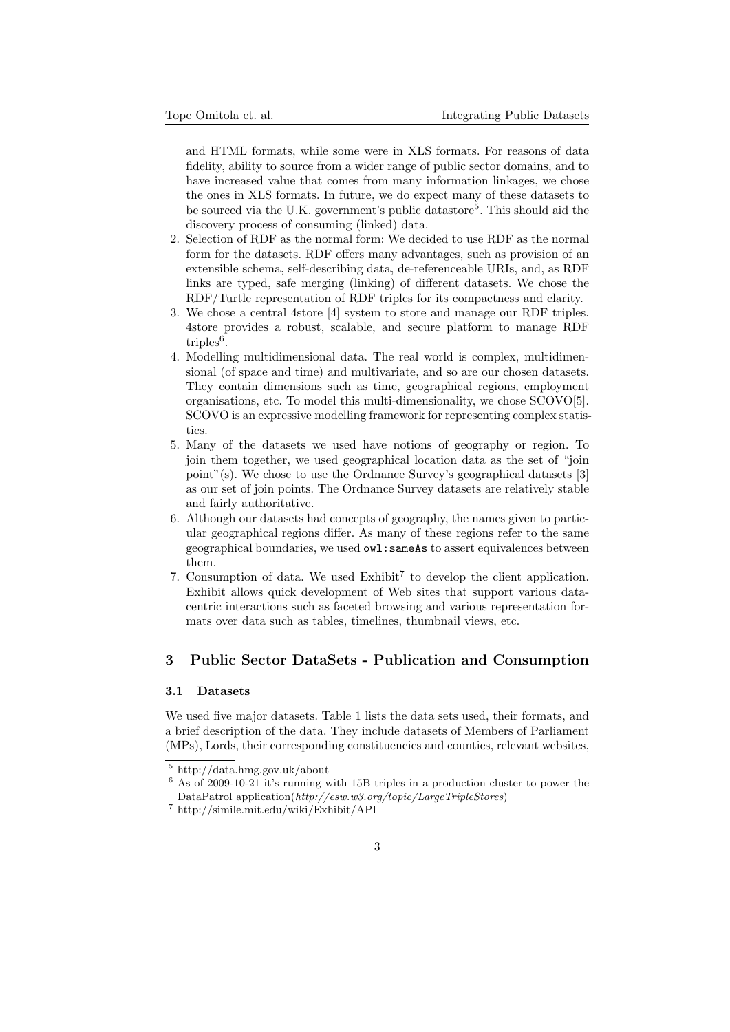and HTML formats, while some were in XLS formats. For reasons of data fidelity, ability to source from a wider range of public sector domains, and to have increased value that comes from many information linkages, we chose the ones in XLS formats. In future, we do expect many of these datasets to be sourced via the U.K. government's public datastore5. This should aid the discovery process of consuming (linked) data.

- 2. Selection of RDF as the normal form: We decided to use RDF as the normal form for the datasets. RDF offers many advantages, such as provision of an extensible schema, self-describing data, de-referenceable URIs, and, as RDF links are typed, safe merging (linking) of different datasets. We chose the RDF/Turtle representation of RDF triples for its compactness and clarity.
- 3. We chose a central 4store [4] system to store and manage our RDF triples. 4store provides a robust, scalable, and secure platform to manage RDF triples $^6$ .
- 4. Modelling multidimensional data. The real world is complex, multidimensional (of space and time) and multivariate, and so are our chosen datasets. They contain dimensions such as time, geographical regions, employment organisations, etc. To model this multi-dimensionality, we chose SCOVO[5]. SCOVO is an expressive modelling framework for representing complex statistics.
- 5. Many of the datasets we used have notions of geography or region. To join them together, we used geographical location data as the set of "join point"(s). We chose to use the Ordnance Survey's geographical datasets [3] as our set of join points. The Ordnance Survey datasets are relatively stable and fairly authoritative.
- 6. Although our datasets had concepts of geography, the names given to particular geographical regions differ. As many of these regions refer to the same geographical boundaries, we used owl:sameAs to assert equivalences between them.
- 7. Consumption of data. We used  $Exhibit^7$  to develop the client application. Exhibit allows quick development of Web sites that support various datacentric interactions such as faceted browsing and various representation formats over data such as tables, timelines, thumbnail views, etc.

## 3 Public Sector DataSets - Publication and Consumption

#### 3.1 Datasets

We used five major datasets. Table 1 lists the data sets used, their formats, and a brief description of the data. They include datasets of Members of Parliament (MPs), Lords, their corresponding constituencies and counties, relevant websites,

<sup>5</sup> http://data.hmg.gov.uk/about

<sup>6</sup> As of 2009-10-21 it's running with 15B triples in a production cluster to power the DataPatrol application(*http://esw.w3.org/topic/LargeTripleStores*)

 $^7$ http://simile.mit.edu/wiki/Exhibit/API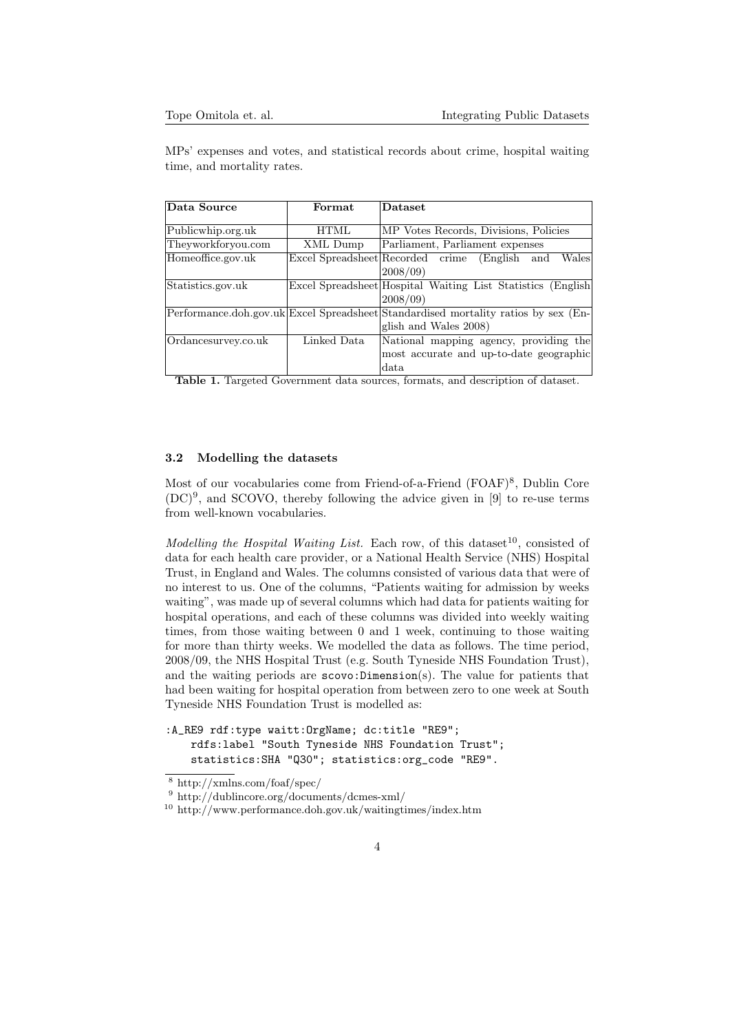MPs' expenses and votes, and statistical records about crime, hospital waiting time, and mortality rates.

| Data Source         | Format      | <b>Dataset</b>                                                                     |
|---------------------|-------------|------------------------------------------------------------------------------------|
|                     |             |                                                                                    |
| Publicwhip.org.uk   | <b>HTML</b> | MP Votes Records, Divisions, Policies                                              |
| Theyworkforyou.com  | XML Dump    | Parliament, Parliament expenses                                                    |
| Homeoffice.gov.uk   |             | Excel Spreadsheet Recorded crime<br>Wales<br>(English and                          |
|                     |             | 2008/09                                                                            |
| Statistics.gov.uk   |             | Excel Spreadsheet Hospital Waiting List Statistics (English                        |
|                     |             | 2008/09                                                                            |
|                     |             | Performance.doh.gov.uk Excel Spreadsheet Standardised mortality ratios by sex (En- |
|                     |             | glish and Wales 2008)                                                              |
| Ordancesurvey.co.uk | Linked Data | National mapping agency, providing the                                             |
|                     |             | most accurate and up-to-date geographic                                            |
|                     |             | data                                                                               |

Table 1. Targeted Government data sources, formats, and description of dataset.

#### 3.2 Modelling the datasets

Most of our vocabularies come from Friend-of-a-Friend (FOAF)<sup>8</sup>, Dublin Core  $(DC)^9$ , and SCOVO, thereby following the advice given in [9] to re-use terms from well-known vocabularies.

*Modelling the Hospital Waiting List.* Each row, of this dataset<sup>10</sup>, consisted of data for each health care provider, or a National Health Service (NHS) Hospital Trust, in England and Wales. The columns consisted of various data that were of no interest to us. One of the columns, "Patients waiting for admission by weeks waiting", was made up of several columns which had data for patients waiting for hospital operations, and each of these columns was divided into weekly waiting times, from those waiting between 0 and 1 week, continuing to those waiting for more than thirty weeks. We modelled the data as follows. The time period, 2008/09, the NHS Hospital Trust (e.g. South Tyneside NHS Foundation Trust), and the waiting periods are scovo:Dimension(s). The value for patients that had been waiting for hospital operation from between zero to one week at South Tyneside NHS Foundation Trust is modelled as:

```
:A_RE9 rdf:type waitt:OrgName; dc:title "RE9";
rdfs:label "South Tyneside NHS Foundation Trust";
statistics:SHA "Q30"; statistics:org_code "RE9".
```
<sup>8</sup> http://xmlns.com/foaf/spec/

<sup>9</sup> http://dublincore.org/documents/dcmes-xml/

<sup>10</sup> http://www.performance.doh.gov.uk/waitingtimes/index.htm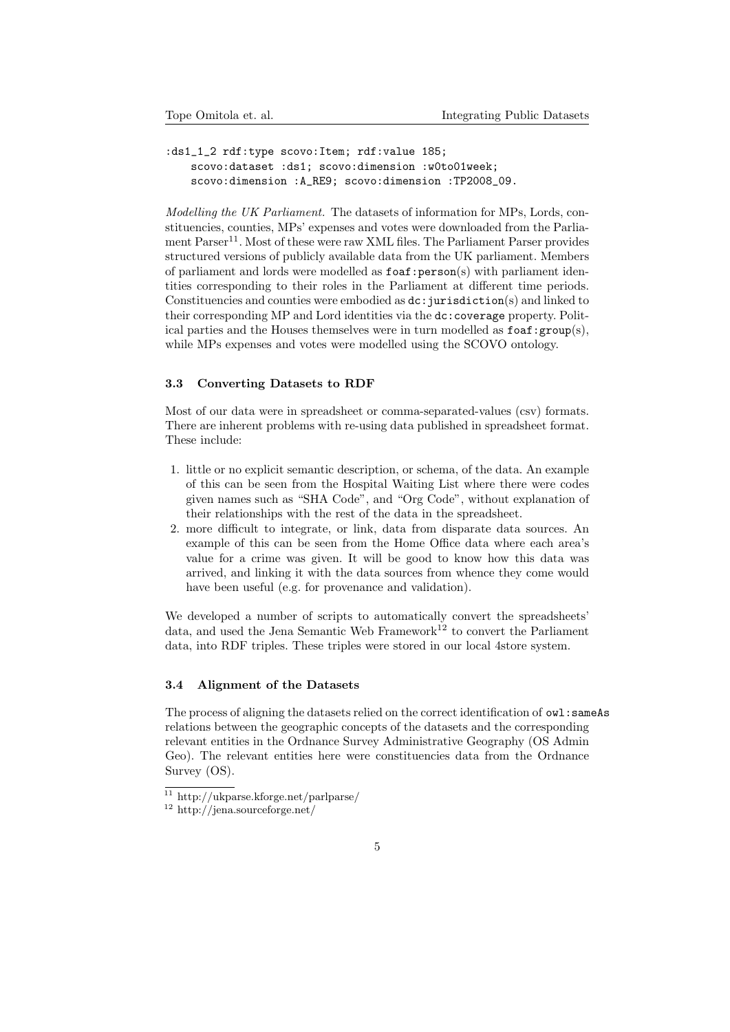```
:ds1_1_2 rdf:type scovo:Item; rdf:value 185;
scovo:dataset :ds1; scovo:dimension :w0to01week;
scovo:dimension :A_RE9; scovo:dimension :TP2008_09.
```
*Modelling the UK Parliament.* The datasets of information for MPs, Lords, constituencies, counties, MPs' expenses and votes were downloaded from the Parliament Parser<sup>11</sup>. Most of these were raw XML files. The Parliament Parser provides structured versions of publicly available data from the UK parliament. Members of parliament and lords were modelled as foaf:person(s) with parliament identities corresponding to their roles in the Parliament at different time periods. Constituencies and counties were embodied as dc:jurisdiction(s) and linked to their corresponding MP and Lord identities via the dc:coverage property. Political parties and the Houses themselves were in turn modelled as  $f \circ af: group(s)$ , while MPs expenses and votes were modelled using the SCOVO ontology.

#### 3.3 Converting Datasets to RDF

Most of our data were in spreadsheet or comma-separated-values (csv) formats. There are inherent problems with re-using data published in spreadsheet format. These include:

- 1. little or no explicit semantic description, or schema, of the data. An example of this can be seen from the Hospital Waiting List where there were codes given names such as "SHA Code", and "Org Code", without explanation of their relationships with the rest of the data in the spreadsheet.
- 2. more difficult to integrate, or link, data from disparate data sources. An example of this can be seen from the Home Office data where each area's value for a crime was given. It will be good to know how this data was arrived, and linking it with the data sources from whence they come would have been useful (e.g. for provenance and validation).

We developed a number of scripts to automatically convert the spreadsheets' data, and used the Jena Semantic Web Framework<sup>12</sup> to convert the Parliament data, into RDF triples. These triples were stored in our local 4store system.

#### 3.4 Alignment of the Datasets

The process of aligning the datasets relied on the correct identification of  $\texttt{owl:sameAs}$ relations between the geographic concepts of the datasets and the corresponding relevant entities in the Ordnance Survey Administrative Geography (OS Admin Geo). The relevant entities here were constituencies data from the Ordnance Survey (OS).

 $^{\rm 11}$ http://ukparse.kforge.net/parlparse/

<sup>12</sup> http://jena.sourceforge.net/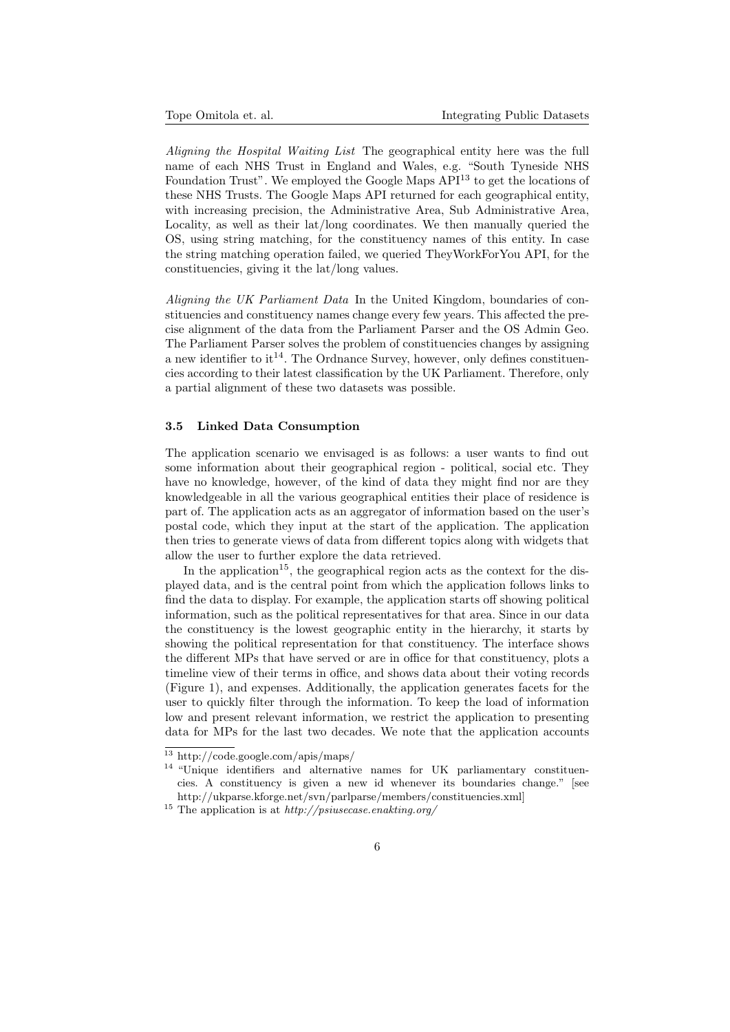*Aligning the Hospital Waiting List* The geographical entity here was the full name of each NHS Trust in England and Wales, e.g. "South Tyneside NHS Foundation Trust". We employed the Google Maps API<sup>13</sup> to get the locations of these NHS Trusts. The Google Maps API returned for each geographical entity, with increasing precision, the Administrative Area, Sub Administrative Area, Locality, as well as their lat/long coordinates. We then manually queried the OS, using string matching, for the constituency names of this entity. In case the string matching operation failed, we queried TheyWorkForYou API, for the constituencies, giving it the lat/long values.

*Aligning the UK Parliament Data* In the United Kingdom, boundaries of constituencies and constituency names change every few years. This affected the precise alignment of the data from the Parliament Parser and the OS Admin Geo. The Parliament Parser solves the problem of constituencies changes by assigning a new identifier to  $it^{14}$ . The Ordnance Survey, however, only defines constituencies according to their latest classification by the UK Parliament. Therefore, only a partial alignment of these two datasets was possible.

#### 3.5 Linked Data Consumption

The application scenario we envisaged is as follows: a user wants to find out some information about their geographical region - political, social etc. They have no knowledge, however, of the kind of data they might find nor are they knowledgeable in all the various geographical entities their place of residence is part of. The application acts as an aggregator of information based on the user's postal code, which they input at the start of the application. The application then tries to generate views of data from different topics along with widgets that allow the user to further explore the data retrieved.

In the application<sup>15</sup>, the geographical region acts as the context for the displayed data, and is the central point from which the application follows links to find the data to display. For example, the application starts off showing political information, such as the political representatives for that area. Since in our data the constituency is the lowest geographic entity in the hierarchy, it starts by showing the political representation for that constituency. The interface shows the different MPs that have served or are in office for that constituency, plots a timeline view of their terms in office, and shows data about their voting records (Figure 1), and expenses. Additionally, the application generates facets for the user to quickly filter through the information. To keep the load of information low and present relevant information, we restrict the application to presenting data for MPs for the last two decades. We note that the application accounts

<sup>13</sup> http://code.google.com/apis/maps/

<sup>&</sup>lt;sup>14</sup> "Unique identifiers and alternative names for UK parliamentary constituencies. A constituency is given a new id whenever its boundaries change." [see http://ukparse.kforge.net/svn/parlparse/members/constituencies.xml]

<sup>15</sup> The application is at *http://psiusecase.enakting.org/*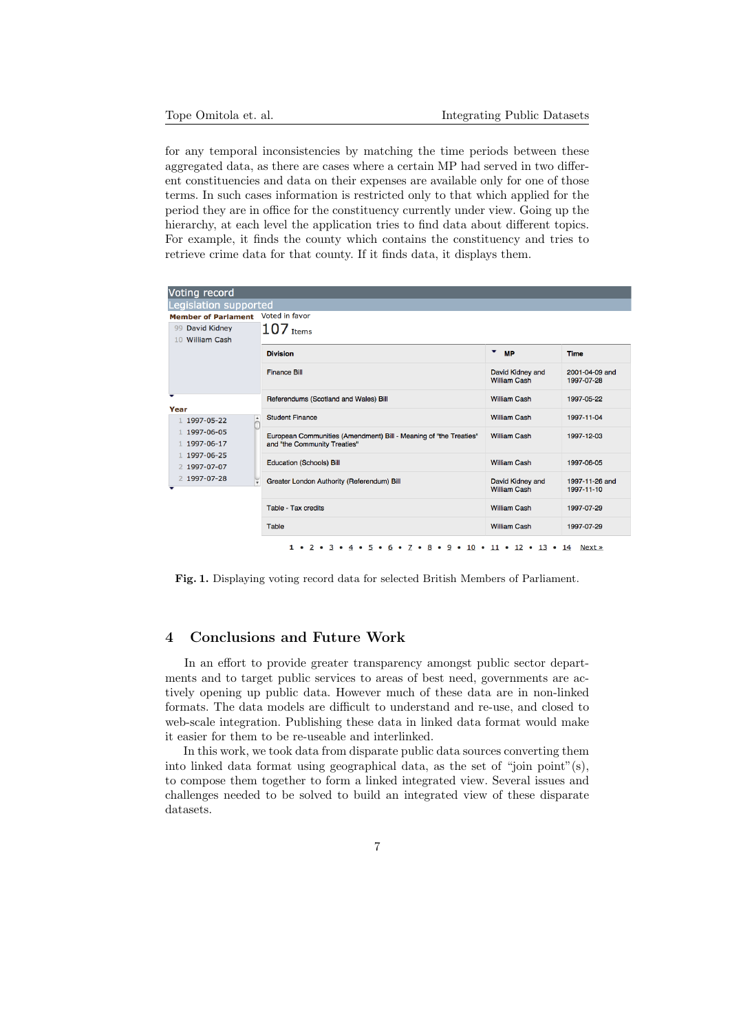for any temporal inconsistencies by matching the time periods between these aggregated data, as there are cases where a certain MP had served in two different constituencies and data on their expenses are available only for one of those terms. In such cases information is restricted only to that which applied for the period they are in office for the constituency currently under view. Going up the hierarchy, at each level the application tries to find data about different topics. For example, it finds the county which contains the constituency and tries to retrieve crime data for that county. If it finds data, it displays them.

| <b>Voting record</b>       |                                                                                                   |                                         |                              |  |  |
|----------------------------|---------------------------------------------------------------------------------------------------|-----------------------------------------|------------------------------|--|--|
| Legislation supported      |                                                                                                   |                                         |                              |  |  |
| <b>Member of Parlament</b> | Voted in favor                                                                                    |                                         |                              |  |  |
| David Kidney<br>99         | $107$ Items                                                                                       |                                         |                              |  |  |
| 10 William Cash            |                                                                                                   |                                         |                              |  |  |
|                            | <b>Division</b>                                                                                   | ▼<br><b>MP</b>                          | <b>Time</b>                  |  |  |
|                            | <b>Finance Bill</b>                                                                               | David Kidney and<br><b>William Cash</b> | 2001-04-09 and<br>1997-07-28 |  |  |
|                            | Referendums (Scotland and Wales) Bill                                                             | <b>William Cash</b>                     | 1997-05-22                   |  |  |
| Year<br>L.<br>1997-05-22   | <b>Student Finance</b>                                                                            | <b>William Cash</b>                     | 1997-11-04                   |  |  |
| 1997-06-05<br>1997-06-17   | European Communities (Amendment) Bill - Meaning of "the Treaties"<br>and "the Community Treaties" | <b>William Cash</b>                     | 1997-12-03                   |  |  |
| 1997-06-25<br>2 1997-07-07 | <b>Education (Schools) Bill</b>                                                                   | <b>William Cash</b>                     | 1997-06-05                   |  |  |
| 2 1997-07-28<br>÷          | Greater London Authority (Referendum) Bill                                                        | David Kidney and<br><b>William Cash</b> | 1997-11-26 and<br>1997-11-10 |  |  |
|                            | Table - Tax credits                                                                               | <b>William Cash</b>                     | 1997-07-29                   |  |  |
|                            | Table                                                                                             | <b>William Cash</b>                     | 1997-07-29                   |  |  |

Fig. 1. Displaying voting record data for selected British Members of Parliament.

# 4 Conclusions and Future Work

In an effort to provide greater transparency amongst public sector departments and to target public services to areas of best need, governments are actively opening up public data. However much of these data are in non-linked formats. The data models are difficult to understand and re-use, and closed to web-scale integration. Publishing these data in linked data format would make it easier for them to be re-useable and interlinked.

In this work, we took data from disparate public data sources converting them into linked data format using geographical data, as the set of "join point" $(s)$ , to compose them together to form a linked integrated view. Several issues and challenges needed to be solved to build an integrated view of these disparate datasets.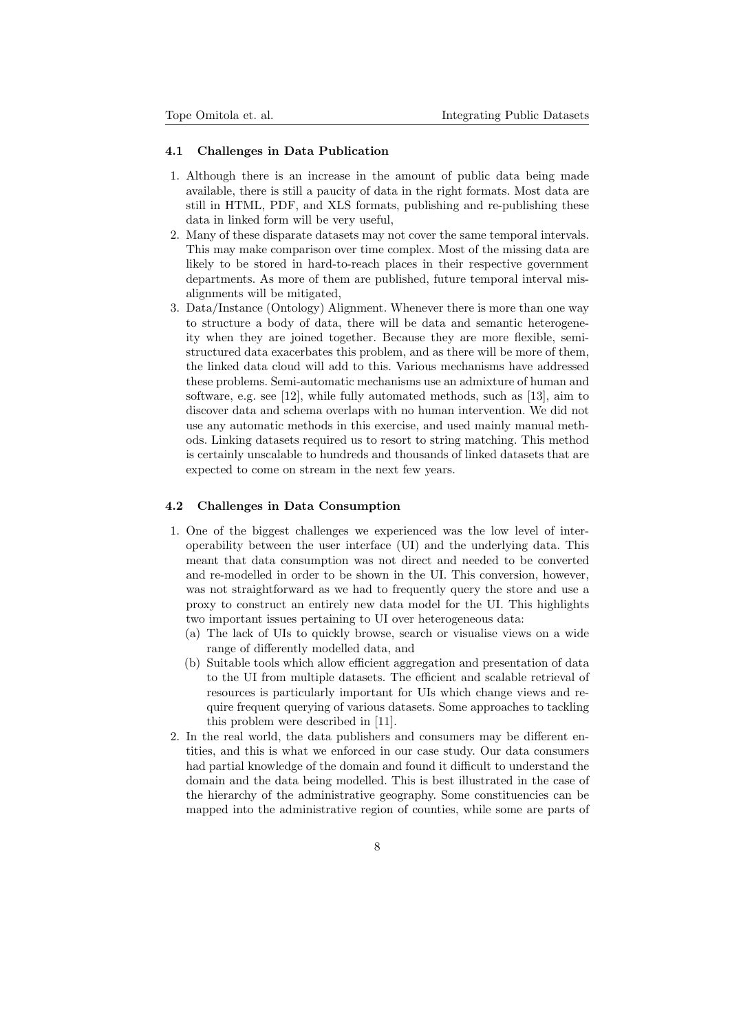#### 4.1 Challenges in Data Publication

- 1. Although there is an increase in the amount of public data being made available, there is still a paucity of data in the right formats. Most data are still in HTML, PDF, and XLS formats, publishing and re-publishing these data in linked form will be very useful,
- 2. Many of these disparate datasets may not cover the same temporal intervals. This may make comparison over time complex. Most of the missing data are likely to be stored in hard-to-reach places in their respective government departments. As more of them are published, future temporal interval misalignments will be mitigated,
- 3. Data/Instance (Ontology) Alignment. Whenever there is more than one way to structure a body of data, there will be data and semantic heterogeneity when they are joined together. Because they are more flexible, semistructured data exacerbates this problem, and as there will be more of them, the linked data cloud will add to this. Various mechanisms have addressed these problems. Semi-automatic mechanisms use an admixture of human and software, e.g. see [12], while fully automated methods, such as [13], aim to discover data and schema overlaps with no human intervention. We did not use any automatic methods in this exercise, and used mainly manual methods. Linking datasets required us to resort to string matching. This method is certainly unscalable to hundreds and thousands of linked datasets that are expected to come on stream in the next few years.

#### 4.2 Challenges in Data Consumption

- 1. One of the biggest challenges we experienced was the low level of interoperability between the user interface (UI) and the underlying data. This meant that data consumption was not direct and needed to be converted and re-modelled in order to be shown in the UI. This conversion, however, was not straightforward as we had to frequently query the store and use a proxy to construct an entirely new data model for the UI. This highlights two important issues pertaining to UI over heterogeneous data:
	- (a) The lack of UIs to quickly browse, search or visualise views on a wide range of differently modelled data, and
	- (b) Suitable tools which allow efficient aggregation and presentation of data to the UI from multiple datasets. The efficient and scalable retrieval of resources is particularly important for UIs which change views and require frequent querying of various datasets. Some approaches to tackling this problem were described in [11].
- 2. In the real world, the data publishers and consumers may be different entities, and this is what we enforced in our case study. Our data consumers had partial knowledge of the domain and found it difficult to understand the domain and the data being modelled. This is best illustrated in the case of the hierarchy of the administrative geography. Some constituencies can be mapped into the administrative region of counties, while some are parts of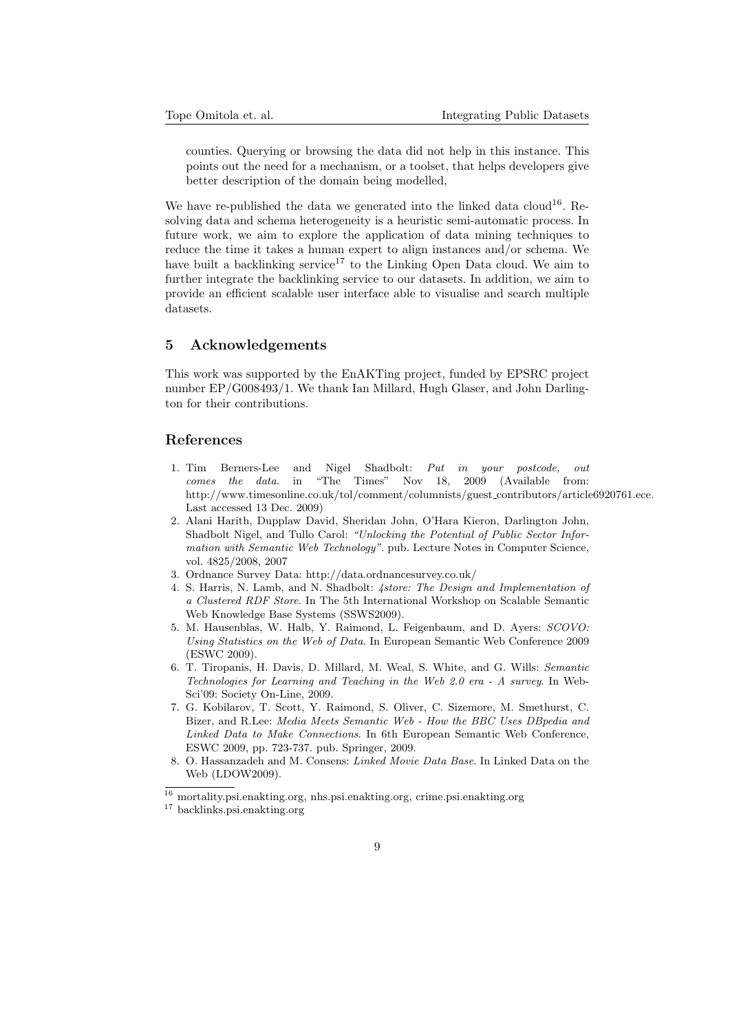counties. Querying or browsing the data did not help in this instance. This points out the need for a mechanism, or a toolset, that helps developers give better description of the domain being modelled,

We have re-published the data we generated into the linked data cloud<sup>16</sup>. Resolving data and schema heterogeneity is a heuristic semi-automatic process. In future work, we aim to explore the application of data mining techniques to reduce the time it takes a human expert to align instances and/or schema. We have built a backlinking service<sup>17</sup> to the Linking Open Data cloud. We aim to further integrate the backlinking service to our datasets. In addition, we aim to provide an efficient scalable user interface able to visualise and search multiple datasets.

## 5 Acknowledgements

This work was supported by the EnAKTing project, funded by EPSRC project number EP/G008493/1. We thank Ian Millard, Hugh Glaser, and John Darlington for their contributions.

#### References

- 1. Tim Berners-Lee and Nigel Shadbolt: *Put in your postcode, out comes the data*. in "The Times" Nov 18, 2009 (Available from: http://www.timesonline.co.uk/tol/comment/columnists/guest contributors/article6920761.ece. Last accessed 13 Dec. 2009)
- 2. Alani Harith, Dupplaw David, Sheridan John, O'Hara Kieron, Darlington John, Shadbolt Nigel, and Tullo Carol: *"Unlocking the Potential of Public Sector Information with Semantic Web Technology"*. pub. Lecture Notes in Computer Science, vol. 4825/2008, 2007
- 3. Ordnance Survey Data: http://data.ordnancesurvey.co.uk/
- 4. S. Harris, N. Lamb, and N. Shadbolt: *4store: The Design and Implementation of a Clustered RDF Store*. In The 5th International Workshop on Scalable Semantic Web Knowledge Base Systems (SSWS2009).
- 5. M. Hausenblas, W. Halb, Y. Raimond, L. Feigenbaum, and D. Ayers: *SCOVO: Using Statistics on the Web of Data*. In European Semantic Web Conference 2009 (ESWC 2009).
- 6. T. Tiropanis, H. Davis, D. Millard, M. Weal, S. White, and G. Wills: *Semantic Technologies for Learning and Teaching in the Web 2.0 era - A survey*. In Web-Sci'09: Society On-Line, 2009.
- 7. G. Kobilarov, T. Scott, Y. Raimond, S. Oliver, C. Sizemore, M. Smethurst, C. Bizer, and R.Lee: *Media Meets Semantic Web - How the BBC Uses DBpedia and Linked Data to Make Connections*. In 6th European Semantic Web Conference, ESWC 2009, pp. 723-737. pub. Springer, 2009.
- 8. O. Hassanzadeh and M. Consens: *Linked Movie Data Base*. In Linked Data on the Web (LDOW2009).

 $^{16}$  mortality.psi.enakting.org, nhs.psi.enakting.org, crime.psi.enakting.org

 $^{\rm 17}$  backlinks.psi.enakting.org